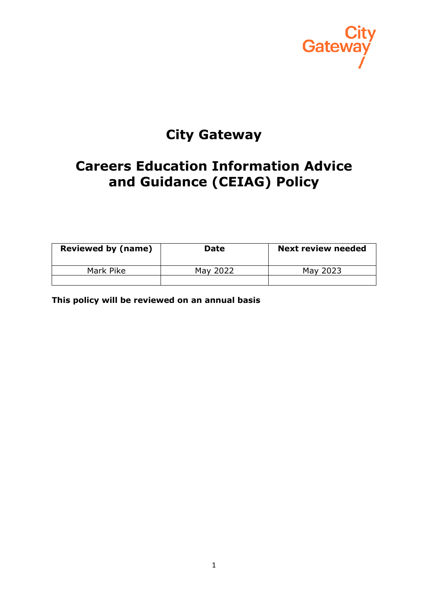

# **City Gateway**

# **Careers Education Information Advice and Guidance (CEIAG) Policy**

| <b>Reviewed by (name)</b> | <b>Date</b> | <b>Next review needed</b> |
|---------------------------|-------------|---------------------------|
| Mark Pike                 | May 2022    | May 2023                  |
|                           |             |                           |

**This policy will be reviewed on an annual basis**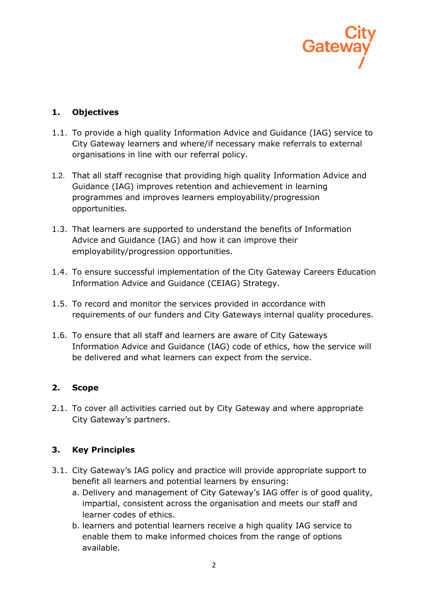

## **1. Objectives**

- 1.1. To provide a high quality Information Advice and Guidance (IAG) service to City Gateway learners and where/if necessary make referrals to external organisations in line with our referral policy.
- 1.2. That all staff recognise that providing high quality Information Advice and Guidance (IAG) improves retention and achievement in learning programmes and improves learners employability/progression opportunities.
- 1.3. That learners are supported to understand the benefits of Information Advice and Guidance (IAG) and how it can improve their employability/progression opportunities.
- 1.4. To ensure successful implementation of the City Gateway Careers Education Information Advice and Guidance (CEIAG) Strategy.
- 1.5. To record and monitor the services provided in accordance with requirements of our funders and City Gateways internal quality procedures.
- 1.6. To ensure that all staff and learners are aware of City Gateways Information Advice and Guidance (IAG) code of ethics, how the service will be delivered and what learners can expect from the service.

## **2. Scope**

2.1. To cover all activities carried out by City Gateway and where appropriate City Gateway's partners.

## **3. Key Principles**

- 3.1. City Gateway's IAG policy and practice will provide appropriate support to benefit all learners and potential learners by ensuring:
	- a. Delivery and management of City Gateway's IAG offer is of good quality, impartial, consistent across the organisation and meets our staff and learner codes of ethics.
	- b. learners and potential learners receive a high quality IAG service to enable them to make informed choices from the range of options available.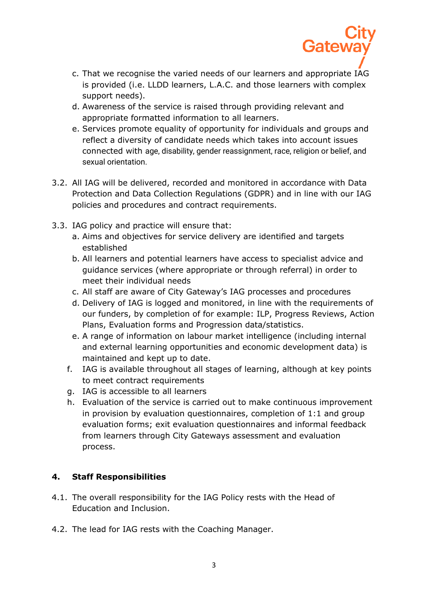

Gatey

- d. Awareness of the service is raised through providing relevant and appropriate formatted information to all learners.
- e. Services promote equality of opportunity for individuals and groups and reflect a diversity of candidate needs which takes into account issues connected with age, disability, gender reassignment, race, religion or belief, and sexual orientation.
- 3.2. All IAG will be delivered, recorded and monitored in accordance with Data Protection and Data Collection Regulations (GDPR) and in line with our IAG policies and procedures and contract requirements.
- 3.3. IAG policy and practice will ensure that:
	- a. Aims and objectives for service delivery are identified and targets established
	- b. All learners and potential learners have access to specialist advice and guidance services (where appropriate or through referral) in order to meet their individual needs
	- c. All staff are aware of City Gateway's IAG processes and procedures
	- d. Delivery of IAG is logged and monitored, in line with the requirements of our funders, by completion of for example: ILP, Progress Reviews, Action Plans, Evaluation forms and Progression data/statistics.
	- e. A range of information on labour market intelligence (including internal and external learning opportunities and economic development data) is maintained and kept up to date.
	- f. IAG is available throughout all stages of learning, although at key points to meet contract requirements
	- g. IAG is accessible to all learners
	- h. Evaluation of the service is carried out to make continuous improvement in provision by evaluation questionnaires, completion of 1:1 and group evaluation forms; exit evaluation questionnaires and informal feedback from learners through City Gateways assessment and evaluation process.

## **4. Staff Responsibilities**

- 4.1. The overall responsibility for the IAG Policy rests with the Head of Education and Inclusion.
- 4.2. The lead for IAG rests with the Coaching Manager.